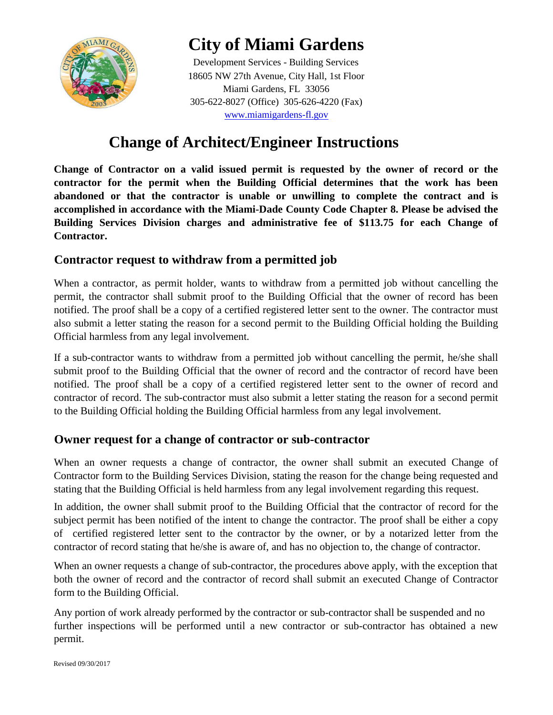

# **City of Miami Gardens**

Development Services - Building Services 18605 NW 27th Avenue, City Hall, 1st Floor Miami Gardens, FL 33056 305-622-8027 (Office) 305-626-4220 (Fax) [w](http://www.miamigardens-fl.gov/)ww.miamigardens-fl.gov

## **Change of Architect/Engineer Instructions**

**Change of Contractor on a valid issued permit is requested by the owner of record or the contractor for the permit when the Building Official determines that the work has been abandoned or that the contractor is unable or unwilling to complete the contract and is accomplished in accordance with the Miami-Dade County Code Chapter 8. Please be advised the Building Services Division charges and administrative fee of \$113.75 for each Change of Contractor.**

### **Contractor request to withdraw from a permitted job**

When a contractor, as permit holder, wants to withdraw from a permitted job without cancelling the permit, the contractor shall submit proof to the Building Official that the owner of record has been notified. The proof shall be a copy of a certified registered letter sent to the owner. The contractor must also submit a letter stating the reason for a second permit to the Building Official holding the Building Official harmless from any legal involvement.

If a sub-contractor wants to withdraw from a permitted job without cancelling the permit, he/she shall submit proof to the Building Official that the owner of record and the contractor of record have been notified. The proof shall be a copy of a certified registered letter sent to the owner of record and contractor of record. The sub-contractor must also submit a letter stating the reason for a second permit to the Building Official holding the Building Official harmless from any legal involvement.

### **Owner request for a change of contractor or sub-contractor**

When an owner requests a change of contractor, the owner shall submit an executed Change of Contractor form to the Building Services Division, stating the reason for the change being requested and stating that the Building Official is held harmless from any legal involvement regarding this request.

In addition, the owner shall submit proof to the Building Official that the contractor of record for the subject permit has been notified of the intent to change the contractor. The proof shall be either a copy of certified registered letter sent to the contractor by the owner, or by a notarized letter from the contractor of record stating that he/she is aware of, and has no objection to, the change of contractor.

When an owner requests a change of sub-contractor, the procedures above apply, with the exception that both the owner of record and the contractor of record shall submit an executed Change of Contractor form to the Building Official.

Any portion of work already performed by the contractor or sub-contractor shall be suspended and no further inspections will be performed until a new contractor or sub-contractor has obtained a new permit.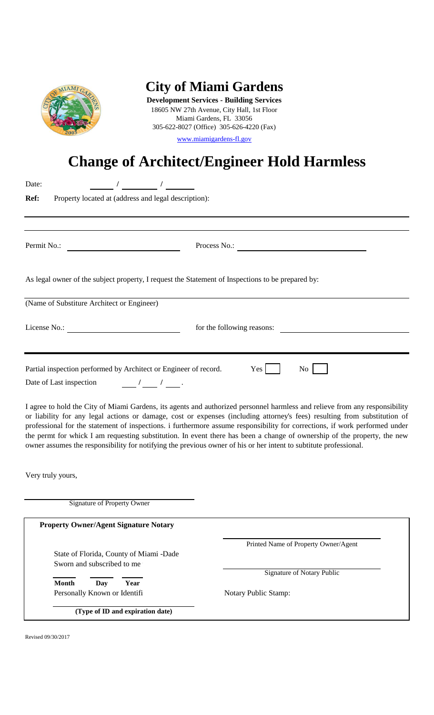

# **City of Miami Gardens**

305-622-8027 (Office) 305-626-4220 (Fax) **Development Services - Building Services** 18605 NW 27th Avenue, City Hall, 1st Floor Miami Gardens, FL 33056

[w](http://www.miamigardens-fl.gov/)ww.miamigardens-fl.gov

# **Change of Architect/Engineer Hold Harmless**

| Date:                                                                                                                                                                                                                                                                                  |                                                                                                                                                                                                                                                                                                                                                                                                                                                                                                                     |
|----------------------------------------------------------------------------------------------------------------------------------------------------------------------------------------------------------------------------------------------------------------------------------------|---------------------------------------------------------------------------------------------------------------------------------------------------------------------------------------------------------------------------------------------------------------------------------------------------------------------------------------------------------------------------------------------------------------------------------------------------------------------------------------------------------------------|
| Ref:<br>Property located at (address and legal description):                                                                                                                                                                                                                           |                                                                                                                                                                                                                                                                                                                                                                                                                                                                                                                     |
|                                                                                                                                                                                                                                                                                        |                                                                                                                                                                                                                                                                                                                                                                                                                                                                                                                     |
| Permit No.:<br><u> 1989 - Johann Barbara, martin amerikan basa</u>                                                                                                                                                                                                                     | Process No.:                                                                                                                                                                                                                                                                                                                                                                                                                                                                                                        |
| As legal owner of the subject property, I request the Statement of Inspections to be prepared by:                                                                                                                                                                                      |                                                                                                                                                                                                                                                                                                                                                                                                                                                                                                                     |
| (Name of Substiture Architect or Engineer)                                                                                                                                                                                                                                             |                                                                                                                                                                                                                                                                                                                                                                                                                                                                                                                     |
| License No.:                                                                                                                                                                                                                                                                           | for the following reasons:                                                                                                                                                                                                                                                                                                                                                                                                                                                                                          |
| Partial inspection performed by Architect or Engineer of record.<br>Date of Last inspection<br>$\frac{1}{\sqrt{2}}$ / $\frac{1}{\sqrt{2}}$ .<br>owner assumes the responsibility for notifying the previous owner of his or her intent to subtitute professional.<br>Very truly yours, | I agree to hold the City of Miami Gardens, its agents and authorized personnel harmless and relieve from any responsibility<br>or liability for any legal actions or damage, cost or expenses (including attorney's fees) resulting from substitution of<br>professional for the statement of inspections. i furthermore assume responsibility for corrections, if work performed under<br>the permt for whick I am requesting substitution. In event there has been a change of ownership of the property, the new |
| <b>Signature of Property Owner</b>                                                                                                                                                                                                                                                     |                                                                                                                                                                                                                                                                                                                                                                                                                                                                                                                     |
| <b>Property Owner/Agent Signature Notary</b>                                                                                                                                                                                                                                           |                                                                                                                                                                                                                                                                                                                                                                                                                                                                                                                     |
| State of Florida, County of Miami -Dade<br>Sworn and subscribed to me                                                                                                                                                                                                                  | Printed Name of Property Owner/Agent                                                                                                                                                                                                                                                                                                                                                                                                                                                                                |
| <b>Month</b><br>Day<br>Year<br>Personally Known or Identifi                                                                                                                                                                                                                            | <b>Signature of Notary Public</b><br>Notary Public Stamp:                                                                                                                                                                                                                                                                                                                                                                                                                                                           |
| (Type of ID and expiration date)                                                                                                                                                                                                                                                       |                                                                                                                                                                                                                                                                                                                                                                                                                                                                                                                     |
|                                                                                                                                                                                                                                                                                        |                                                                                                                                                                                                                                                                                                                                                                                                                                                                                                                     |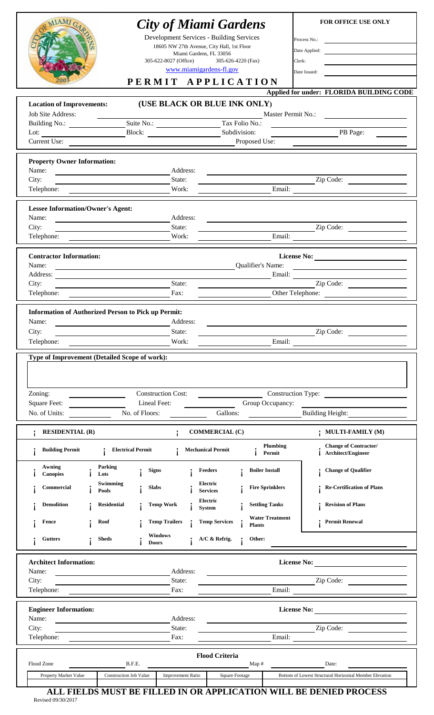| <b>STAM7</b>                                                                                                                                        | 305-622-8027 (Office)                                                                | <b>City of Miami Gardens</b><br>Development Services - Building Services<br>18605 NW 27th Avenue, City Hall, 1st Floor<br>Miami Gardens, FL 33056<br>305-626-4220 (Fax)<br>www.miamigardens-fl.gov<br>PERMIT APPLICATION | <b>FOR OFFICE USE ONLY</b><br>Process No.:<br>Date Applied:<br><u> 1986 - Johann Barnett, fransk konge</u><br>Clerk:<br>and the control of the control of the<br>Date Issued:                                                                                                                                                                                                                                                                                                                       |
|-----------------------------------------------------------------------------------------------------------------------------------------------------|--------------------------------------------------------------------------------------|--------------------------------------------------------------------------------------------------------------------------------------------------------------------------------------------------------------------------|-----------------------------------------------------------------------------------------------------------------------------------------------------------------------------------------------------------------------------------------------------------------------------------------------------------------------------------------------------------------------------------------------------------------------------------------------------------------------------------------------------|
| <b>Location of Improvements:</b><br><b>Job Site Address:</b>                                                                                        |                                                                                      | (USE BLACK OR BLUE INK ONLY)                                                                                                                                                                                             | Applied for under: FLORIDA BUILDING CODE<br>Master Permit No.:<br><u> 1980 - Jan Samuel Barbara, martin di</u>                                                                                                                                                                                                                                                                                                                                                                                      |
| Building No.: Suite No.: Tax Folio No.:<br>Lot: $\qquad \qquad$                                                                                     | Block:                                                                               | Subdivision:                                                                                                                                                                                                             | PB Page:                                                                                                                                                                                                                                                                                                                                                                                                                                                                                            |
| Current Use:                                                                                                                                        |                                                                                      | Proposed Use:                                                                                                                                                                                                            |                                                                                                                                                                                                                                                                                                                                                                                                                                                                                                     |
| <b>Property Owner Information:</b><br>Name:                                                                                                         | Address:                                                                             |                                                                                                                                                                                                                          |                                                                                                                                                                                                                                                                                                                                                                                                                                                                                                     |
| City:<br>Telephone:                                                                                                                                 | State:<br>Work:                                                                      |                                                                                                                                                                                                                          | $\overline{\phantom{a}}$ Zip Code:                                                                                                                                                                                                                                                                                                                                                                                                                                                                  |
| <b>Lessee Information/Owner's Agent:</b>                                                                                                            |                                                                                      |                                                                                                                                                                                                                          |                                                                                                                                                                                                                                                                                                                                                                                                                                                                                                     |
| Name:<br>City:<br><u> 1989 - Johann Barn, mars ann an t-Amhair an t-Amhair an t-Amhair an t-Amhair an t-Amhair an t-Amhair an t-A</u><br>Telephone: | Address:<br>State:<br>Work:                                                          |                                                                                                                                                                                                                          | Zip Code:<br>Email:                                                                                                                                                                                                                                                                                                                                                                                                                                                                                 |
| <b>Contractor Information:</b>                                                                                                                      |                                                                                      |                                                                                                                                                                                                                          | License No:                                                                                                                                                                                                                                                                                                                                                                                                                                                                                         |
| Name:                                                                                                                                               | <u> 1989 - Johann Barn, fransk politik (d. 1989)</u>                                 | Qualifier's Name:                                                                                                                                                                                                        | <u> 1989 - Johann Harry Harry Harry Harry Harry Harry Harry Harry Harry Harry Harry Harry Harry Harry Harry Harry</u><br>Email:                                                                                                                                                                                                                                                                                                                                                                     |
| City:<br>Telephone:                                                                                                                                 | State:<br><u> 1989 - Johann Barbara, martin da kasar Amerikaansk filosof</u><br>Fax: |                                                                                                                                                                                                                          | $\overline{\phantom{a}}$ $\overline{\phantom{a}}$ $\overline{\phantom{a}}$ $\overline{\phantom{a}}$ $\overline{\phantom{a}}$ $\overline{\phantom{a}}$ $\overline{\phantom{a}}$ $\overline{\phantom{a}}$ $\overline{\phantom{a}}$ $\overline{\phantom{a}}$ $\overline{\phantom{a}}$ $\overline{\phantom{a}}$ $\overline{\phantom{a}}$ $\overline{\phantom{a}}$ $\overline{\phantom{a}}$ $\overline{\phantom{a}}$ $\overline{\phantom{a}}$ $\overline{\phantom{a}}$ $\overline{\$<br>Other Telephone: |
| City:<br>Telephone:<br>Type of Improvement (Detailed Scope of work):                                                                                | Work:                                                                                | Email:                                                                                                                                                                                                                   | Zip Code:                                                                                                                                                                                                                                                                                                                                                                                                                                                                                           |
| Zoning:                                                                                                                                             | <b>Construction Cost:</b>                                                            |                                                                                                                                                                                                                          | Construction Type:                                                                                                                                                                                                                                                                                                                                                                                                                                                                                  |
| <b>Square Feet:</b><br>No. of Units:                                                                                                                | Lineal Feet:<br>No. of Floors:                                                       | Group Occupancy:<br>Gallons:                                                                                                                                                                                             | <b>Building Height:</b>                                                                                                                                                                                                                                                                                                                                                                                                                                                                             |
| <b>RESIDENTIAL (R)</b>                                                                                                                              | $\ddot{i}$                                                                           | <b>COMMERCIAL (C)</b>                                                                                                                                                                                                    | ; MULTI-FAMILY (M)                                                                                                                                                                                                                                                                                                                                                                                                                                                                                  |
| <b>Building Permit</b>                                                                                                                              | <b>Electrical Permit</b>                                                             | Plumbing<br><b>Mechanical Permit</b><br>Permit                                                                                                                                                                           | <b>Change of Contractor/</b><br>Architect/Engineer                                                                                                                                                                                                                                                                                                                                                                                                                                                  |
| Awning<br>Parking<br><b>Canopies</b><br>Lots                                                                                                        | <b>Signs</b>                                                                         | Feeders<br><b>Boiler Install</b>                                                                                                                                                                                         | <b>Change of Qualifier</b>                                                                                                                                                                                                                                                                                                                                                                                                                                                                          |
| Swimming<br><b>Commercial</b><br>Pools                                                                                                              | <b>Slabs</b>                                                                         | Electric<br><b>Fire Sprinklers</b><br><b>Services</b>                                                                                                                                                                    | <b>Re-Certification of Plans</b>                                                                                                                                                                                                                                                                                                                                                                                                                                                                    |
| <b>Demolition</b><br><b>Residential</b>                                                                                                             | <b>Temp Work</b>                                                                     | Electric<br><b>Settling Tanks</b><br><b>System</b>                                                                                                                                                                       | <b>Revision of Plans</b>                                                                                                                                                                                                                                                                                                                                                                                                                                                                            |
| Roof<br>Fence                                                                                                                                       | <b>Temp Trailers</b><br><b>Windows</b>                                               | <b>Water Treatment</b><br><b>Temp Services</b><br><b>Plants</b>                                                                                                                                                          | <b>Permit Renewal</b>                                                                                                                                                                                                                                                                                                                                                                                                                                                                               |
| <b>Gutters</b><br>Sheds                                                                                                                             | <b>Doors</b>                                                                         | A/C & Refrig.<br>Other:                                                                                                                                                                                                  |                                                                                                                                                                                                                                                                                                                                                                                                                                                                                                     |
| <b>Architect Information:</b><br>Name:                                                                                                              | Address:                                                                             |                                                                                                                                                                                                                          | <b>License No:</b>                                                                                                                                                                                                                                                                                                                                                                                                                                                                                  |
| City:<br>Telephone:                                                                                                                                 | State:<br>Fax:                                                                       | Email:                                                                                                                                                                                                                   | Zip Code:                                                                                                                                                                                                                                                                                                                                                                                                                                                                                           |
| <b>Engineer Information:</b>                                                                                                                        |                                                                                      |                                                                                                                                                                                                                          | <b>License No:</b>                                                                                                                                                                                                                                                                                                                                                                                                                                                                                  |
| Name:                                                                                                                                               | Address:<br>State:                                                                   |                                                                                                                                                                                                                          | Zip Code:                                                                                                                                                                                                                                                                                                                                                                                                                                                                                           |
| City:                                                                                                                                               |                                                                                      |                                                                                                                                                                                                                          |                                                                                                                                                                                                                                                                                                                                                                                                                                                                                                     |
| Telephone:<br>Flood Zone                                                                                                                            | Fax:<br>B.F.E.                                                                       | Email:<br><b>Flood Criteria</b><br>Map#                                                                                                                                                                                  | Date:                                                                                                                                                                                                                                                                                                                                                                                                                                                                                               |

**Revised 09/30/2017 ALL FIELDS MUST BE FILLED IN OR APPLICATION WILL BE DENIED PROCESS**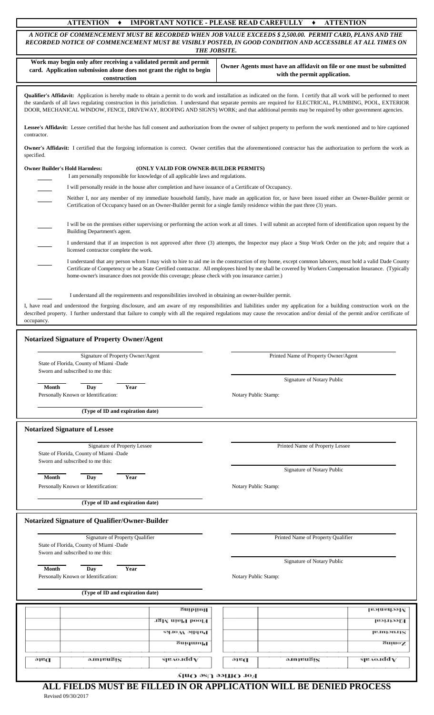### **ATTENTION ♦ IMPORTANT NOTICE - PLEASE READ CAREFULLY ♦ ATTENTION**

*A NOTICE OF COMMENCEMENT MUST BE RECORDED WHEN JOB VALUE EXCEEDS \$ 2,500.00. PERMIT CARD, PLANS AND THE RECORDED NOTICE OF COMMENCEMENT MUST BE VISIBLY POSTED, IN GOOD CONDITION AND ACCESSIBLE AT ALL TIMES ON THE JOBSITE.*

| Work may begin only after receiving a validated permit and permit<br>card. Application submission alone does not grant the right to begin<br>construction                                                                                                                                                                                                                                                                                                                                         |                                                      |                      | Owner Agents must have an affidavit on file or one must be submitted<br>with the permit application.                                                          |             |  |  |  |
|---------------------------------------------------------------------------------------------------------------------------------------------------------------------------------------------------------------------------------------------------------------------------------------------------------------------------------------------------------------------------------------------------------------------------------------------------------------------------------------------------|------------------------------------------------------|----------------------|---------------------------------------------------------------------------------------------------------------------------------------------------------------|-------------|--|--|--|
| Qualifier's Affidavit: Application is hereby made to obtain a permit to do work and installation as indicated on the form. I certify that all work will be performed to meet<br>the standards of all laws regulating construction in this jurisdiction. I understand that separate permits are required for ELECTRICAL, PLUMBING, POOL, EXTERIOR<br>DOOR, MECHANICAL WINDOW, FENCE, DRIVEWAY, ROOFING AND SIGN'S) WORK; and that additional permits may be required by other government agencies. |                                                      |                      |                                                                                                                                                               |             |  |  |  |
| Lessee's Affidavit: Lessee certified that he/she has full consent and authorization from the owner of subject property to perform the work mentioned and to hire captioned<br>contractor.                                                                                                                                                                                                                                                                                                         |                                                      |                      |                                                                                                                                                               |             |  |  |  |
| <b>Owner's Affidavit:</b> I certified that the forgoing information is correct. Owner certifies that the aforementioned contractor has the authorization to perform the work as<br>specified.                                                                                                                                                                                                                                                                                                     |                                                      |                      |                                                                                                                                                               |             |  |  |  |
| <b>Owner Builder's Hold Harmless:</b><br>I am personally responsible for knowledge of all applicable laws and regulations.                                                                                                                                                                                                                                                                                                                                                                        | (ONLY VALID FOR OWNER-BUILDER PERMITS)               |                      |                                                                                                                                                               |             |  |  |  |
| I will personally reside in the house after completion and have issuance of a Certificate of Occupancy.                                                                                                                                                                                                                                                                                                                                                                                           |                                                      |                      |                                                                                                                                                               |             |  |  |  |
| Neither I, nor any member of my immediate household family, have made an application for, or have been issued either an Owner-Builder permit or<br>Certification of Occupancy based on an Owner-Builder permit for a single family residence within the past three (3) years.                                                                                                                                                                                                                     |                                                      |                      |                                                                                                                                                               |             |  |  |  |
| Building Department's agent.                                                                                                                                                                                                                                                                                                                                                                                                                                                                      |                                                      |                      | I will be on the premises either supervising or performing the action work at all times. I will submit an accepted form of identification upon request by the |             |  |  |  |
| licensed contractor complete the work.                                                                                                                                                                                                                                                                                                                                                                                                                                                            |                                                      |                      | I understand that if an inspection is not approved after three (3) attempts, the Inspector may place a Stop Work Order on the job; and require that a         |             |  |  |  |
| I understand that any person whom I may wish to hire to aid me in the construction of my home, except common laborers, must hold a valid Dade County<br>Certificate of Competency or be a State Certified contractor. All employees hired by me shall be covered by Workers Compensation Insurance. (Typically<br>home-owner's insurance does not provide this coverage; please check with you insurance carrier.)                                                                                |                                                      |                      |                                                                                                                                                               |             |  |  |  |
| I understand all the requirements and responsibilities involved in obtaining an owner-builder permit.                                                                                                                                                                                                                                                                                                                                                                                             |                                                      |                      |                                                                                                                                                               |             |  |  |  |
| I, have read and understood the forgoing disclosure, and am aware of my responsibilities and liabilities under my application for a building construction work on the                                                                                                                                                                                                                                                                                                                             |                                                      |                      |                                                                                                                                                               |             |  |  |  |
| described property. I further understand that failure to comply with all the required regulations may cause the revocation and/or denial of the permit and/or certificate of<br>occupancy.                                                                                                                                                                                                                                                                                                        |                                                      |                      |                                                                                                                                                               |             |  |  |  |
| <b>Notarized Signature of Property Owner/Agent</b>                                                                                                                                                                                                                                                                                                                                                                                                                                                |                                                      |                      |                                                                                                                                                               |             |  |  |  |
| Signature of Property Owner/Agent<br>State of Florida, County of Miami -Dade<br>Sworn and subscribed to me this:                                                                                                                                                                                                                                                                                                                                                                                  |                                                      |                      | Printed Name of Property Owner/Agent                                                                                                                          |             |  |  |  |
|                                                                                                                                                                                                                                                                                                                                                                                                                                                                                                   |                                                      |                      | Signature of Notary Public                                                                                                                                    |             |  |  |  |
| Month<br>Day<br>Year<br>Personally Known or Identification:                                                                                                                                                                                                                                                                                                                                                                                                                                       |                                                      | Notary Public Stamp: |                                                                                                                                                               |             |  |  |  |
| (Type of ID and expiration date)                                                                                                                                                                                                                                                                                                                                                                                                                                                                  |                                                      |                      |                                                                                                                                                               |             |  |  |  |
| <b>Notarized Signature of Lessee</b>                                                                                                                                                                                                                                                                                                                                                                                                                                                              |                                                      |                      |                                                                                                                                                               |             |  |  |  |
| Signature of Property Lessee<br>Printed Name of Property Lessee<br>State of Florida, County of Miami -Dade<br>Sworn and subscribed to me this:                                                                                                                                                                                                                                                                                                                                                    |                                                      |                      |                                                                                                                                                               |             |  |  |  |
|                                                                                                                                                                                                                                                                                                                                                                                                                                                                                                   |                                                      |                      | Signature of Notary Public                                                                                                                                    |             |  |  |  |
| Year<br>Month<br>Day<br>Personally Known or Identification:                                                                                                                                                                                                                                                                                                                                                                                                                                       |                                                      |                      | Notary Public Stamp:                                                                                                                                          |             |  |  |  |
| (Type of ID and expiration date)                                                                                                                                                                                                                                                                                                                                                                                                                                                                  |                                                      |                      |                                                                                                                                                               |             |  |  |  |
| Notarized Signature of Qualifier/Owner-Builder                                                                                                                                                                                                                                                                                                                                                                                                                                                    |                                                      |                      |                                                                                                                                                               |             |  |  |  |
| Signature of Property Qualifier<br>State of Florida, County of Miami -Dade<br>Sworn and subscribed to me this:                                                                                                                                                                                                                                                                                                                                                                                    |                                                      |                      | Printed Name of Property Qualifier                                                                                                                            |             |  |  |  |
|                                                                                                                                                                                                                                                                                                                                                                                                                                                                                                   |                                                      |                      | Signature of Notary Public                                                                                                                                    |             |  |  |  |
| Month<br>Day<br>Year<br>Personally Known or Identification:                                                                                                                                                                                                                                                                                                                                                                                                                                       | Notary Public Stamp:                                 |                      |                                                                                                                                                               |             |  |  |  |
| (Type of ID and expiration date)                                                                                                                                                                                                                                                                                                                                                                                                                                                                  |                                                      |                      |                                                                                                                                                               |             |  |  |  |
|                                                                                                                                                                                                                                                                                                                                                                                                                                                                                                   | Buibliva                                             |                      |                                                                                                                                                               | месрэнся    |  |  |  |
|                                                                                                                                                                                                                                                                                                                                                                                                                                                                                                   | Flood Plain Mgr                                      |                      |                                                                                                                                                               | Electrical  |  |  |  |
|                                                                                                                                                                                                                                                                                                                                                                                                                                                                                                   | SA.10AA ƏHqn. <b>1</b>                               |                      |                                                                                                                                                               | [e.mpon.ns] |  |  |  |
|                                                                                                                                                                                                                                                                                                                                                                                                                                                                                                   | Buiquinid                                            |                      |                                                                                                                                                               | Zening      |  |  |  |
| ə.mpeuBis<br>Date                                                                                                                                                                                                                                                                                                                                                                                                                                                                                 | $\overline{\text{s}}$ paro add $\overline{\text{V}}$ | ə16C                 | อ.เทาชนธิเร                                                                                                                                                   | spaaadd V   |  |  |  |
|                                                                                                                                                                                                                                                                                                                                                                                                                                                                                                   |                                                      |                      |                                                                                                                                                               |             |  |  |  |
| For Office Use Only<br>ALL FIELDS MUST BE FILLED IN OR APPLICATION WILL BE DENIED PROCESS                                                                                                                                                                                                                                                                                                                                                                                                         |                                                      |                      |                                                                                                                                                               |             |  |  |  |
| P <sub>enized</sub> 00/30/2017                                                                                                                                                                                                                                                                                                                                                                                                                                                                    |                                                      |                      |                                                                                                                                                               |             |  |  |  |